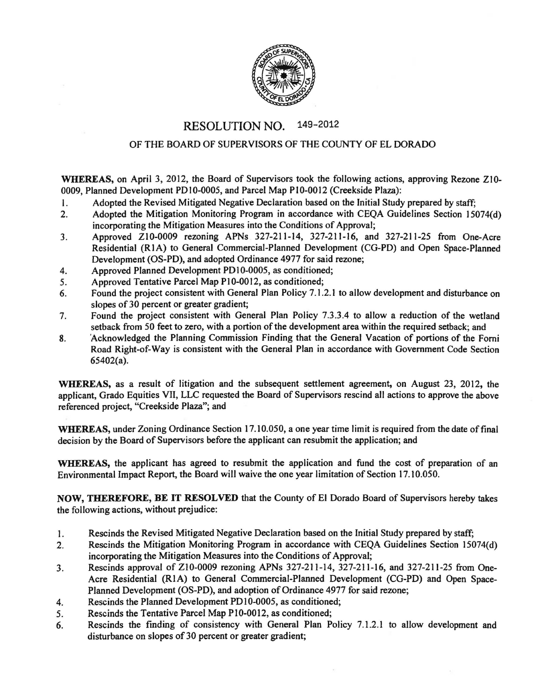

## RESOLUTION NO. 149-2012

## OF THE BOARD OF SUPERVISORS OF THE COUNTY OF EL DORADO

WHEREAS, on April 3, 2012, the Board of Supervisors took the following actions, approving Rezone ZI0- 0009, Planned Development PDI0-0005, and Parcel Map P10-0012 (Creekside Plaza):

- I. Adopted the Revised Mitigated Negative Declaration based on the Initial Study prepared by staff;
- 2. Adopted the Mitigation Monitoring Program in accordance with CEQA Guidelines Section 15074(d) incorporating the Mitigation Measures into the Conditions of Approval;
- 3. Approved ZI0-0009 rezoning APNs 327-211-14, 327-211-16, and 327-211-25 from One-Acre Residential (R1A) to General Commercial-Planned Development (CG-PD) and Open Space-Planned Development (OS-PO), and adopted Ordinance 4977 for said rezone;
- 4. Approved Planned Development PDI0-0005, as conditioned;
- 5. Approved Tentative Parcel Map P10-0012, as conditioned;
- 6. Found the project consistent with General Plan Policy 7.1.2.1 to allow development and disturbance on slopes of 30 percent or greater gradient;
- 7. Found the project consistent with General Plan Policy 7.3.3.4 to allow a reduction of the wetland setback from 50 feet to zero, with a portion of the development area within the required setback; and
- 8. 'Acknowledged the Planning Commission Finding that the General Vacation of portions of the Forni Road Right-of-Way is consistent with the General Plan in accordance with Government Code Section 65402(a).

WHEREAS, as a result of litigation and the subsequent settlement agreement, on August 23, 2012, the applicant, Grado Equities VII, LLC requested the Board of Supervisors rescind all actions to approve the above referenced project, "Creekside Plaza"; and

WHEREAS, under Zoning Ordinance Section 17.10.050, a one year time limit is required from the date of final decision by the Board of Supervisors before the applicant can resubmit the application; and

WHEREAS, the applicant has agreed to resubmit the application and fund the cost of preparation of an Environmental Impact Report, the Board will waive the one year limitation of Section 17.1 0.050.

NOW, THEREFORE, BE IT RESOLVED that the County of El Dorado Board of Supervisors hereby takes the following actions, without prejudice:

- 1. Rescinds the Revised Mitigated Negative Declaration based on the Initial Study prepared by staff;
- 2. Rescinds the Mitigation Monitoring Program in accordance with CEQA Guidelines Section 15074(d) incorporating the Mitigation Measures into the Conditions of Approval;
- 3. Rescinds approval of Z10-0009 rezoning APNs 327-211-14, 327-211-16, and 327-211-25 from One-Acre Residential (RIA) to General Commercial-Planned Development (CG-PD) and Open Space-Planned Development (OS-PO), and adoption of Ordinance 4977 for said rezone;
- 4. Rescinds the Planned Development PO 10-0005, as conditioned;
- 5. Rescinds the Tentative Parcel Map PI0-0012, as conditioned;
- 6. Rescinds the finding of consistency with General Plan Policy 7 .1.2.1 to allow development and disturbance on slopes of 30 percent or greater gradient;